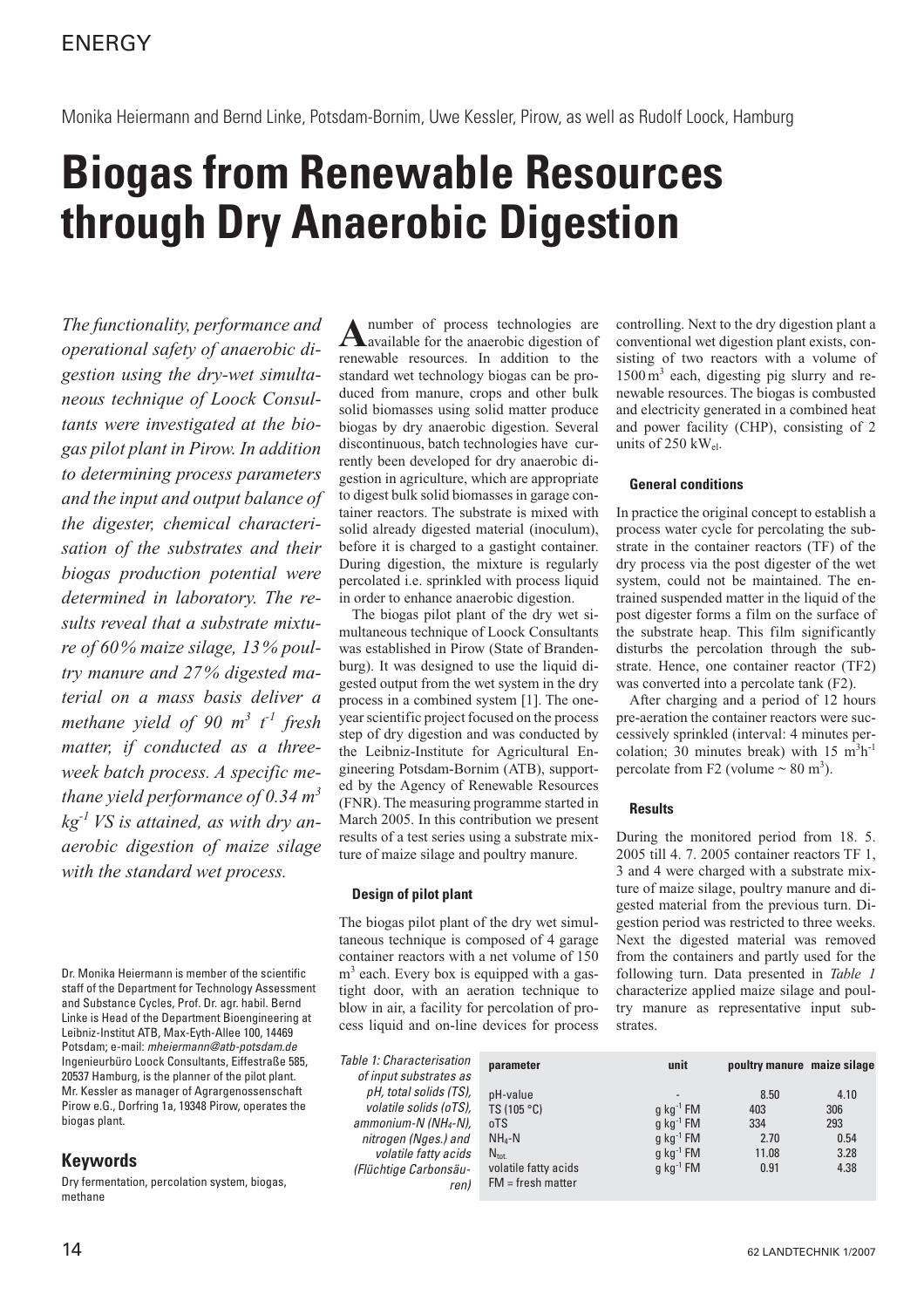Monika Heiermann and Bernd Linke, Potsdam-Bornim, Uwe Kessler, Pirow, as well as Rudolf Loock, Hamburg

# **Biogas from Renewable Resources through Dry Anaerobic Digestion**

*The functionality, performance and operational safety of anaerobic digestion using the dry-wet simultaneous technique of Loock Consultants were investigated at the biogas pilot plant in Pirow. In addition to determining process parameters and the input and output balance of the digester, chemical characterisation of the substrates and their biogas production potential were determined in laboratory. The results reveal that a substrate mixture of 60% maize silage, 13% poultry manure and 27% digested material on a mass basis deliver a methane yield of 90 m<sup>3</sup> t -1 fresh matter, if conducted as a threeweek batch process. A specific methane yield performance of 0.34 m<sup>3</sup> kg-1 VS is attained, as with dry anaerobic digestion of maize silage with the standard wet process.*

Dr. Monika Heiermann is member of the scientific staff of the Department for Technology Assessment and Substance Cycles, Prof. Dr. agr. habil. Bernd Linke is Head of the Department Bioengineering at Leibniz-Institut ATB, Max-Eyth-Allee 100, 14469 Potsdam; e-mail: *mheiermann@atb-potsdam.de* Ingenieurbüro Loock Consultants, Eiffestraße 585, 20537 Hamburg, is the planner of the pilot plant. Mr. Kessler as manager of Agrargenossenschaft Pirow e.G., Dorfring 1a, 19348 Pirow, operates the biogas plant.

# **Keywords**

Dry fermentation, percolation system, biogas, methane

A number of process technologies are<br>
available for the anaerobic digestion of renewable resources. In addition to the standard wet technology biogas can be produced from manure, crops and other bulk solid biomasses using solid matter produce biogas by dry anaerobic digestion. Several discontinuous, batch technologies have currently been developed for dry anaerobic digestion in agriculture, which are appropriate to digest bulk solid biomasses in garage container reactors. The substrate is mixed with solid already digested material (inoculum), before it is charged to a gastight container. During digestion, the mixture is regularly percolated i.e. sprinkled with process liquid in order to enhance anaerobic digestion.

The biogas pilot plant of the dry wet simultaneous technique of Loock Consultants was established in Pirow (State of Brandenburg). It was designed to use the liquid digested output from the wet system in the dry process in a combined system [1]. The oneyear scientific project focused on the process step of dry digestion and was conducted by the Leibniz-Institute for Agricultural Engineering Potsdam-Bornim (ATB), supported by the Agency of Renewable Resources (FNR). The measuring programme started in March 2005. In this contribution we present results of a test series using a substrate mixture of maize silage and poultry manure.

## **Design of pilot plant**

The biogas pilot plant of the dry wet simultaneous technique is composed of 4 garage container reactors with a net volume of 150  $m<sup>3</sup>$  each. Every box is equipped with a gastight door, with an aeration technique to blow in air, a facility for percolation of process liquid and on-line devices for process

*Table 1: Characterisation of input substrates as pH, total solids (TS), volatile solids (oTS), ammonium-N (NH4-N), nitrogen (Nges.) and volatile fatty acids (Flüchtige Carbonsäuren)*

controlling. Next to the dry digestion plant a conventional wet digestion plant exists, consisting of two reactors with a volume of  $1500 \text{ m}^3$  each, digesting pig slurry and renewable resources. The biogas is combusted and electricity generated in a combined heat and power facility (CHP), consisting of 2 units of 250 kWel.

#### **General conditions**

In practice the original concept to establish a process water cycle for percolating the substrate in the container reactors (TF) of the dry process via the post digester of the wet system, could not be maintained. The entrained suspended matter in the liquid of the post digester forms a film on the surface of the substrate heap. This film significantly disturbs the percolation through the substrate. Hence, one container reactor (TF2) was converted into a percolate tank (F2).

After charging and a period of 12 hours pre-aeration the container reactors were successively sprinkled (interval: 4 minutes percolation; 30 minutes break) with  $15 \text{ m}^3\text{h}^{-1}$ percolate from F2 (volume  $\sim 80$  m<sup>3</sup>).

## **Results**

During the monitored period from 18. 5. 2005 till 4. 7. 2005 container reactors TF 1, 3 and 4 were charged with a substrate mixture of maize silage, poultry manure and digested material from the previous turn. Digestion period was restricted to three weeks. Next the digested material was removed from the containers and partly used for the following turn. Data presented in *Table 1* characterize applied maize silage and poultry manure as representative input substrates.

| parameter                                                                                                     | unit                                                                                                                                | poultry manure maize silage                 |                                            |
|---------------------------------------------------------------------------------------------------------------|-------------------------------------------------------------------------------------------------------------------------------------|---------------------------------------------|--------------------------------------------|
| pH-value<br>TS (105 °C)<br>oTS<br>$NH_4-N$<br>$N_{\text{tot}}$<br>volatile fatty acids<br>$FM = fresh matter$ | $g$ kg <sup>-1</sup> FM<br>$q$ kg <sup>-1</sup> FM<br>$q$ kg <sup>-1</sup> FM<br>$q$ kg <sup>-1</sup> FM<br>$q$ kg <sup>-1</sup> FM | 8.50<br>403<br>334<br>2.70<br>11.08<br>0.91 | 4.10<br>306<br>293<br>0.54<br>3.28<br>4.38 |